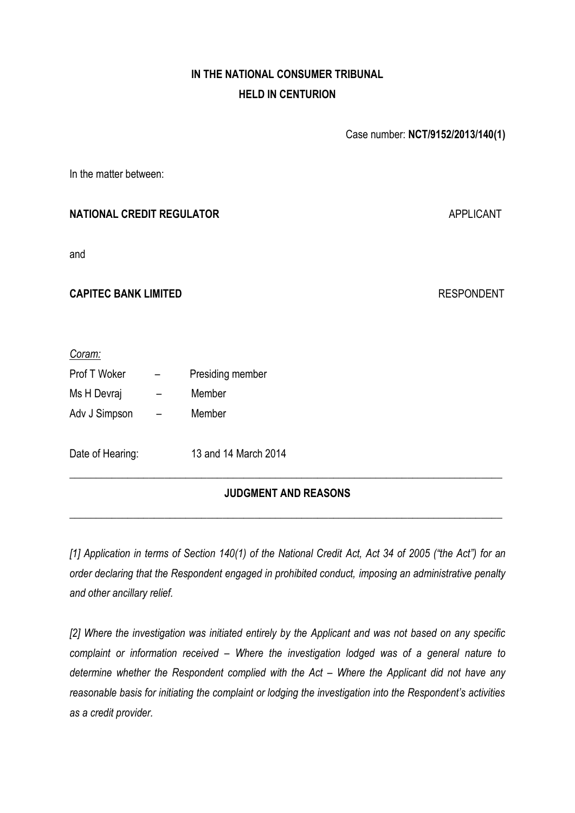# **IN THE NATIONAL CONSUMER TRIBUNAL HELD IN CENTURION**

Case number: **NCT/9152/2013/140(1)**

In the matter between:

## **NATIONAL CREDIT REGULATOR APPLICANT APPLICANT**

and

## **CAPITEC BANK LIMITED** RESPONDENT

#### *Coram:*

| Prof T Woker     | Presiding member     |
|------------------|----------------------|
| Ms H Devraj      | Member               |
| Adv J Simpson    | Member               |
|                  |                      |
| Date of Hearing: | 13 and 14 March 2014 |

## **\_\_\_\_\_\_\_\_\_\_\_\_\_\_\_\_\_\_\_\_\_\_\_\_\_\_\_\_\_\_\_\_\_\_\_\_\_\_\_\_\_\_\_\_\_\_\_\_\_\_\_\_\_\_\_\_\_\_\_\_\_\_\_\_\_\_\_\_\_\_\_\_\_\_\_\_\_\_\_\_\_\_ JUDGMENT AND REASONS**

**\_\_\_\_\_\_\_\_\_\_\_\_\_\_\_\_\_\_\_\_\_\_\_\_\_\_\_\_\_\_\_\_\_\_\_\_\_\_\_\_\_\_\_\_\_\_\_\_\_\_\_\_\_\_\_\_\_\_\_\_\_\_\_\_\_\_\_\_\_\_\_\_\_\_\_\_\_\_\_\_\_\_**

*[1] Application in terms of Section 140(1) of the National Credit Act, Act 34 of 2005 ("the Act") for an order declaring that the Respondent engaged in prohibited conduct, imposing an administrative penalty and other ancillary relief.* 

*[2] Where the investigation was initiated entirely by the Applicant and was not based on any specific complaint or information received – Where the investigation lodged was of a general nature to determine whether the Respondent complied with the Act – Where the Applicant did not have any reasonable basis for initiating the complaint or lodging the investigation into the Respondent's activities as a credit provider.*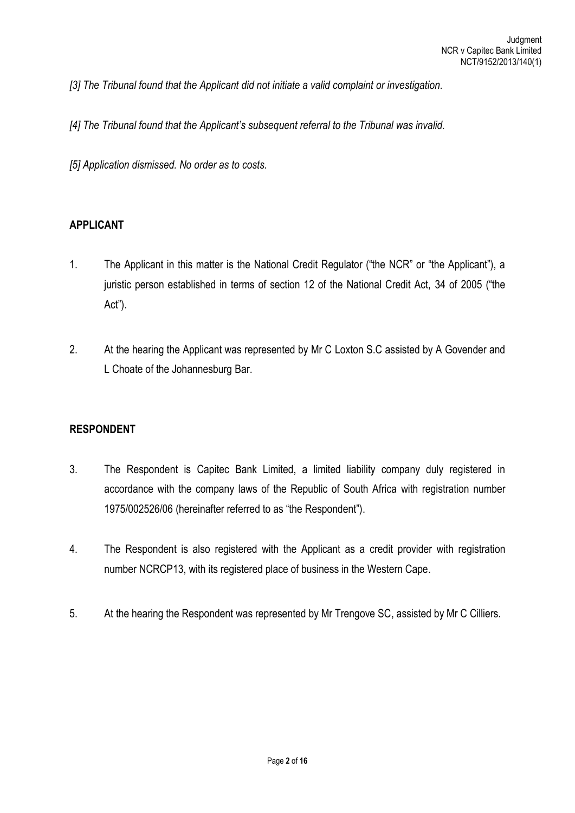*[3] The Tribunal found that the Applicant did not initiate a valid complaint or investigation.* 

*[4] The Tribunal found that the Applicant's subsequent referral to the Tribunal was invalid.*

*[5] Application dismissed. No order as to costs.*

#### **APPLICANT**

- 1. The Applicant in this matter is the National Credit Regulator ("the NCR" or "the Applicant"), a juristic person established in terms of section 12 of the National Credit Act, 34 of 2005 ("the Act").
- 2. At the hearing the Applicant was represented by Mr C Loxton S.C assisted by A Govender and L Choate of the Johannesburg Bar.

#### **RESPONDENT**

- 3. The Respondent is Capitec Bank Limited, a limited liability company duly registered in accordance with the company laws of the Republic of South Africa with registration number 1975/002526/06 (hereinafter referred to as "the Respondent").
- 4. The Respondent is also registered with the Applicant as a credit provider with registration number NCRCP13, with its registered place of business in the Western Cape.
- 5. At the hearing the Respondent was represented by Mr Trengove SC, assisted by Mr C Cilliers.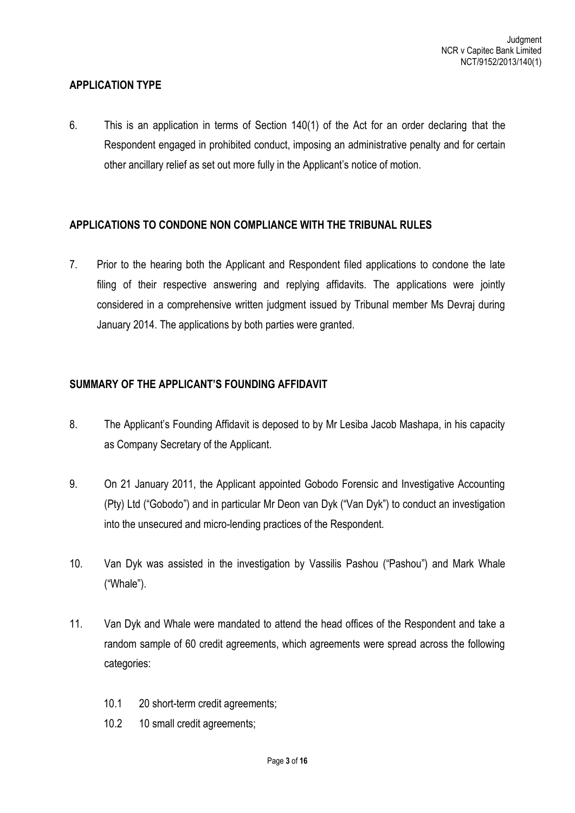#### **APPLICATION TYPE**

6. This is an application in terms of Section 140(1) of the Act for an order declaring that the Respondent engaged in prohibited conduct, imposing an administrative penalty and for certain other ancillary relief as set out more fully in the Applicant's notice of motion.

#### **APPLICATIONS TO CONDONE NON COMPLIANCE WITH THE TRIBUNAL RULES**

7. Prior to the hearing both the Applicant and Respondent filed applications to condone the late filing of their respective answering and replying affidavits. The applications were jointly considered in a comprehensive written judgment issued by Tribunal member Ms Devraj during January 2014. The applications by both parties were granted.

## **SUMMARY OF THE APPLICANT'S FOUNDING AFFIDAVIT**

- 8. The Applicant's Founding Affidavit is deposed to by Mr Lesiba Jacob Mashapa, in his capacity as Company Secretary of the Applicant.
- 9. On 21 January 2011, the Applicant appointed Gobodo Forensic and Investigative Accounting (Pty) Ltd ("Gobodo") and in particular Mr Deon van Dyk ("Van Dyk") to conduct an investigation into the unsecured and micro-lending practices of the Respondent.
- 10. Van Dyk was assisted in the investigation by Vassilis Pashou ("Pashou") and Mark Whale ("Whale").
- 11. Van Dyk and Whale were mandated to attend the head offices of the Respondent and take a random sample of 60 credit agreements, which agreements were spread across the following categories:
	- 10.1 20 short-term credit agreements;
	- 10.2 10 small credit agreements;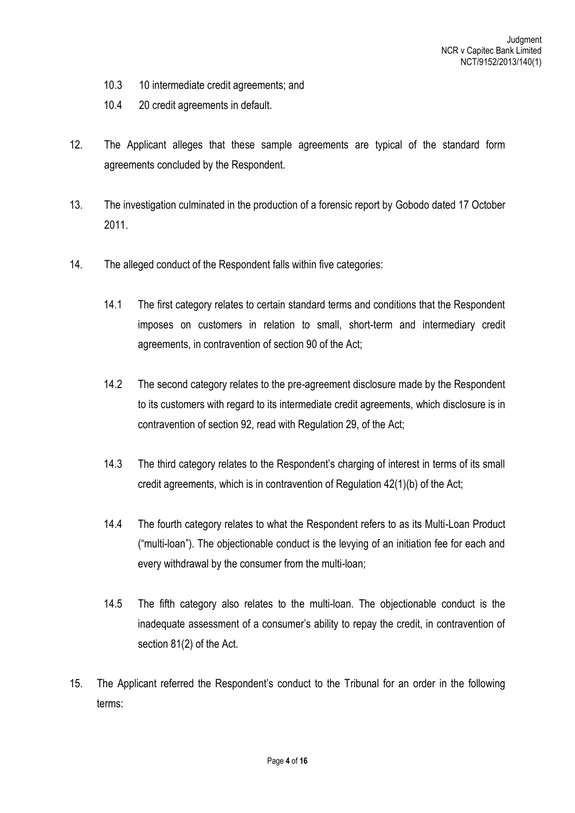- 10.3 10 intermediate credit agreements; and
- 10.4 20 credit agreements in default.
- 12. The Applicant alleges that these sample agreements are typical of the standard form agreements concluded by the Respondent.
- 13. The investigation culminated in the production of a forensic report by Gobodo dated 17 October 2011.
- 14. The alleged conduct of the Respondent falls within five categories:
	- 14.1 The first category relates to certain standard terms and conditions that the Respondent imposes on customers in relation to small, short-term and intermediary credit agreements, in contravention of section 90 of the Act;
	- 14.2 The second category relates to the pre-agreement disclosure made by the Respondent to its customers with regard to its intermediate credit agreements, which disclosure is in contravention of section 92, read with Regulation 29, of the Act;
	- 14.3 The third category relates to the Respondent's charging of interest in terms of its small credit agreements, which is in contravention of Regulation 42(1)(b) of the Act;
	- 14.4 The fourth category relates to what the Respondent refers to as its Multi-Loan Product ("multi-loan"). The objectionable conduct is the levying of an initiation fee for each and every withdrawal by the consumer from the multi-loan;
	- 14.5 The fifth category also relates to the multi-loan. The objectionable conduct is the inadequate assessment of a consumer's ability to repay the credit, in contravention of section 81(2) of the Act.
- 15. The Applicant referred the Respondent's conduct to the Tribunal for an order in the following terms: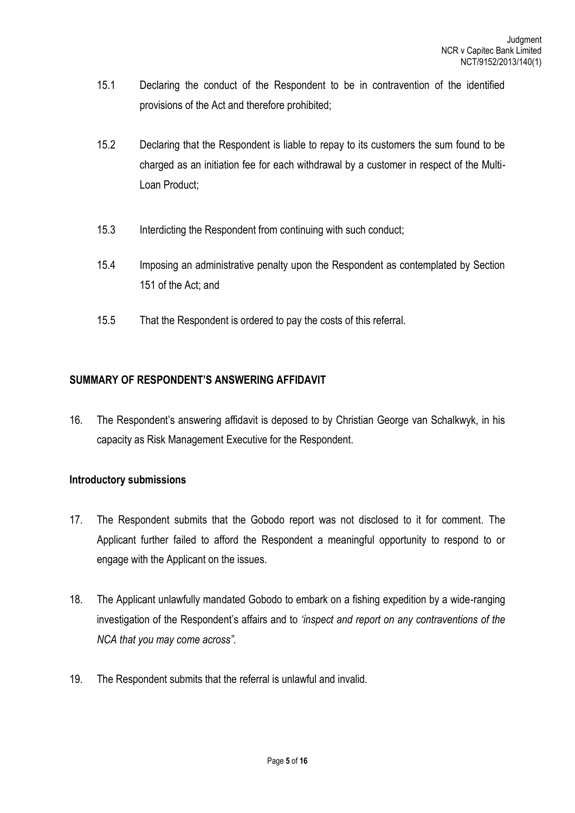- 15.1 Declaring the conduct of the Respondent to be in contravention of the identified provisions of the Act and therefore prohibited;
- 15.2 Declaring that the Respondent is liable to repay to its customers the sum found to be charged as an initiation fee for each withdrawal by a customer in respect of the Multi-Loan Product;
- 15.3 Interdicting the Respondent from continuing with such conduct;
- 15.4 Imposing an administrative penalty upon the Respondent as contemplated by Section 151 of the Act; and
- 15.5 That the Respondent is ordered to pay the costs of this referral.

## **SUMMARY OF RESPONDENT'S ANSWERING AFFIDAVIT**

16. The Respondent's answering affidavit is deposed to by Christian George van Schalkwyk, in his capacity as Risk Management Executive for the Respondent.

## **Introductory submissions**

- 17. The Respondent submits that the Gobodo report was not disclosed to it for comment. The Applicant further failed to afford the Respondent a meaningful opportunity to respond to or engage with the Applicant on the issues.
- 18. The Applicant unlawfully mandated Gobodo to embark on a fishing expedition by a wide-ranging investigation of the Respondent's affairs and to *'inspect and report on any contraventions of the NCA that you may come across".*
- 19. The Respondent submits that the referral is unlawful and invalid.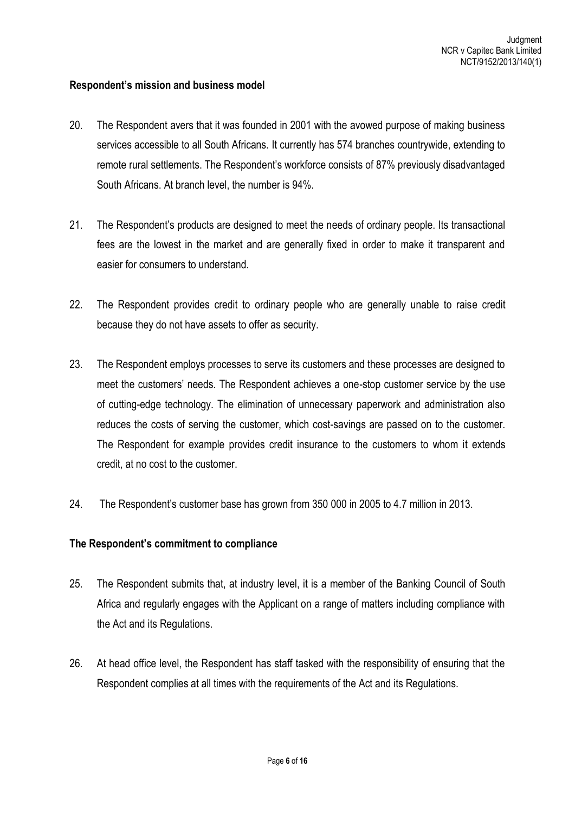#### **Respondent's mission and business model**

- 20. The Respondent avers that it was founded in 2001 with the avowed purpose of making business services accessible to all South Africans. It currently has 574 branches countrywide, extending to remote rural settlements. The Respondent's workforce consists of 87% previously disadvantaged South Africans. At branch level, the number is 94%.
- 21. The Respondent's products are designed to meet the needs of ordinary people. Its transactional fees are the lowest in the market and are generally fixed in order to make it transparent and easier for consumers to understand.
- 22. The Respondent provides credit to ordinary people who are generally unable to raise credit because they do not have assets to offer as security.
- 23. The Respondent employs processes to serve its customers and these processes are designed to meet the customers' needs. The Respondent achieves a one-stop customer service by the use of cutting-edge technology. The elimination of unnecessary paperwork and administration also reduces the costs of serving the customer, which cost-savings are passed on to the customer. The Respondent for example provides credit insurance to the customers to whom it extends credit, at no cost to the customer.
- 24. The Respondent's customer base has grown from 350 000 in 2005 to 4.7 million in 2013.

## **The Respondent's commitment to compliance**

- 25. The Respondent submits that, at industry level, it is a member of the Banking Council of South Africa and regularly engages with the Applicant on a range of matters including compliance with the Act and its Regulations.
- 26. At head office level, the Respondent has staff tasked with the responsibility of ensuring that the Respondent complies at all times with the requirements of the Act and its Regulations.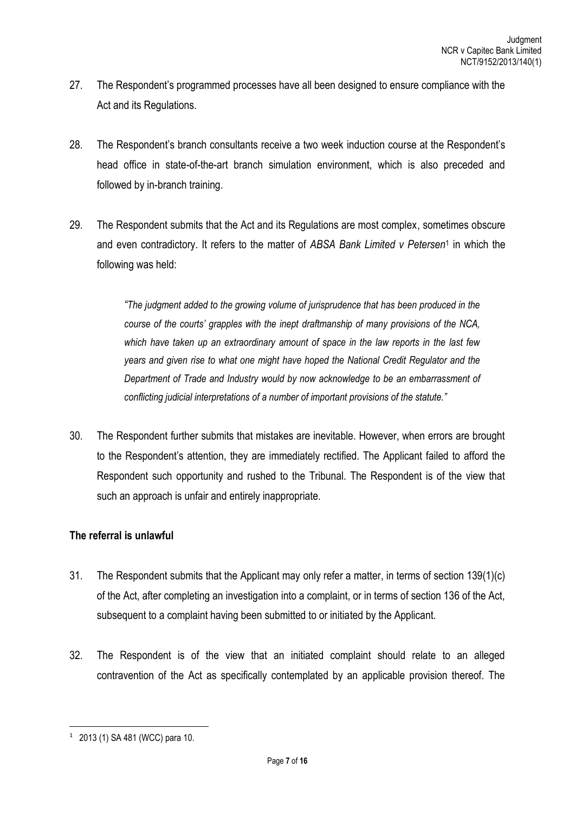- 27. The Respondent's programmed processes have all been designed to ensure compliance with the Act and its Regulations.
- 28. The Respondent's branch consultants receive a two week induction course at the Respondent's head office in state-of-the-art branch simulation environment, which is also preceded and followed by in-branch training.
- 29. The Respondent submits that the Act and its Regulations are most complex, sometimes obscure and even contradictory. It refers to the matter of *ABSA Bank Limited v Petersen*<sup>1</sup> in which the following was held:

*"The judgment added to the growing volume of jurisprudence that has been produced in the course of the courts' grapples with the inept draftmanship of many provisions of the NCA, which have taken up an extraordinary amount of space in the law reports in the last few years and given rise to what one might have hoped the National Credit Regulator and the Department of Trade and Industry would by now acknowledge to be an embarrassment of conflicting judicial interpretations of a number of important provisions of the statute."*

30. The Respondent further submits that mistakes are inevitable. However, when errors are brought to the Respondent's attention, they are immediately rectified. The Applicant failed to afford the Respondent such opportunity and rushed to the Tribunal. The Respondent is of the view that such an approach is unfair and entirely inappropriate.

## **The referral is unlawful**

- 31. The Respondent submits that the Applicant may only refer a matter, in terms of section 139(1)(c) of the Act, after completing an investigation into a complaint, or in terms of section 136 of the Act, subsequent to a complaint having been submitted to or initiated by the Applicant.
- 32. The Respondent is of the view that an initiated complaint should relate to an alleged contravention of the Act as specifically contemplated by an applicable provision thereof. The

**<sup>.</sup>** 1 2013 (1) SA 481 (WCC) para 10.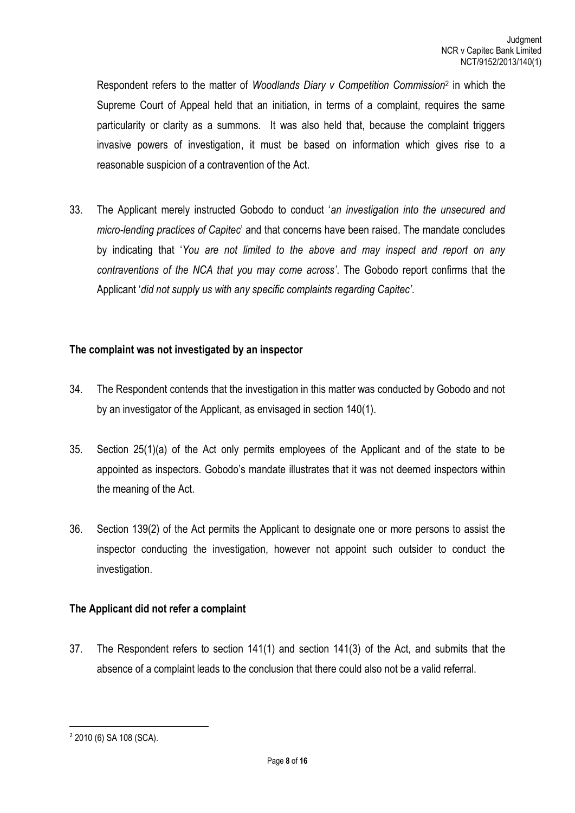Respondent refers to the matter of *Woodlands Diary v Competition Commission*<sup>2</sup> in which the Supreme Court of Appeal held that an initiation, in terms of a complaint, requires the same particularity or clarity as a summons. It was also held that, because the complaint triggers invasive powers of investigation, it must be based on information which gives rise to a reasonable suspicion of a contravention of the Act.

33. The Applicant merely instructed Gobodo to conduct '*an investigation into the unsecured and micro-lending practices of Capitec*' and that concerns have been raised. The mandate concludes by indicating that '*You are not limited to the above and may inspect and report on any contraventions of the NCA that you may come across'*. The Gobodo report confirms that the Applicant '*did not supply us with any specific complaints regarding Capitec'*.

## **The complaint was not investigated by an inspector**

- 34. The Respondent contends that the investigation in this matter was conducted by Gobodo and not by an investigator of the Applicant, as envisaged in section 140(1).
- 35. Section 25(1)(a) of the Act only permits employees of the Applicant and of the state to be appointed as inspectors. Gobodo's mandate illustrates that it was not deemed inspectors within the meaning of the Act.
- 36. Section 139(2) of the Act permits the Applicant to designate one or more persons to assist the inspector conducting the investigation, however not appoint such outsider to conduct the investigation.

## **The Applicant did not refer a complaint**

37. The Respondent refers to section 141(1) and section 141(3) of the Act, and submits that the absence of a complaint leads to the conclusion that there could also not be a valid referral.

**.** 

<sup>2</sup> 2010 (6) SA 108 (SCA).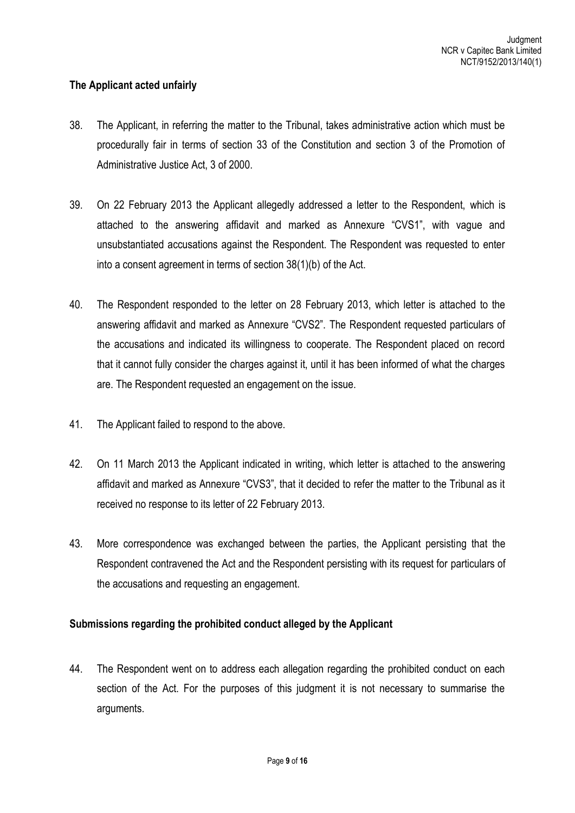## **The Applicant acted unfairly**

- 38. The Applicant, in referring the matter to the Tribunal, takes administrative action which must be procedurally fair in terms of section 33 of the Constitution and section 3 of the Promotion of Administrative Justice Act, 3 of 2000.
- 39. On 22 February 2013 the Applicant allegedly addressed a letter to the Respondent, which is attached to the answering affidavit and marked as Annexure "CVS1", with vague and unsubstantiated accusations against the Respondent. The Respondent was requested to enter into a consent agreement in terms of section 38(1)(b) of the Act.
- 40. The Respondent responded to the letter on 28 February 2013, which letter is attached to the answering affidavit and marked as Annexure "CVS2". The Respondent requested particulars of the accusations and indicated its willingness to cooperate. The Respondent placed on record that it cannot fully consider the charges against it, until it has been informed of what the charges are. The Respondent requested an engagement on the issue.
- 41. The Applicant failed to respond to the above.
- 42. On 11 March 2013 the Applicant indicated in writing, which letter is attached to the answering affidavit and marked as Annexure "CVS3", that it decided to refer the matter to the Tribunal as it received no response to its letter of 22 February 2013.
- 43. More correspondence was exchanged between the parties, the Applicant persisting that the Respondent contravened the Act and the Respondent persisting with its request for particulars of the accusations and requesting an engagement.

## **Submissions regarding the prohibited conduct alleged by the Applicant**

44. The Respondent went on to address each allegation regarding the prohibited conduct on each section of the Act. For the purposes of this judgment it is not necessary to summarise the arguments.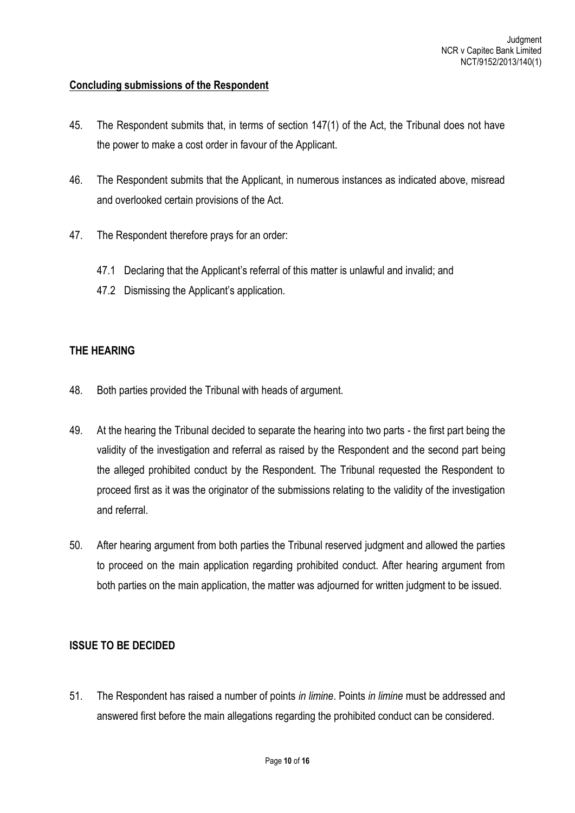## **Concluding submissions of the Respondent**

- 45. The Respondent submits that, in terms of section 147(1) of the Act, the Tribunal does not have the power to make a cost order in favour of the Applicant.
- 46. The Respondent submits that the Applicant, in numerous instances as indicated above, misread and overlooked certain provisions of the Act.
- 47. The Respondent therefore prays for an order:
	- 47.1 Declaring that the Applicant's referral of this matter is unlawful and invalid; and
	- 47.2 Dismissing the Applicant's application.

## **THE HEARING**

- 48. Both parties provided the Tribunal with heads of argument.
- 49. At the hearing the Tribunal decided to separate the hearing into two parts the first part being the validity of the investigation and referral as raised by the Respondent and the second part being the alleged prohibited conduct by the Respondent. The Tribunal requested the Respondent to proceed first as it was the originator of the submissions relating to the validity of the investigation and referral.
- 50. After hearing argument from both parties the Tribunal reserved judgment and allowed the parties to proceed on the main application regarding prohibited conduct. After hearing argument from both parties on the main application, the matter was adjourned for written judgment to be issued.

## **ISSUE TO BE DECIDED**

51. The Respondent has raised a number of points *in limine*. Points *in limine* must be addressed and answered first before the main allegations regarding the prohibited conduct can be considered.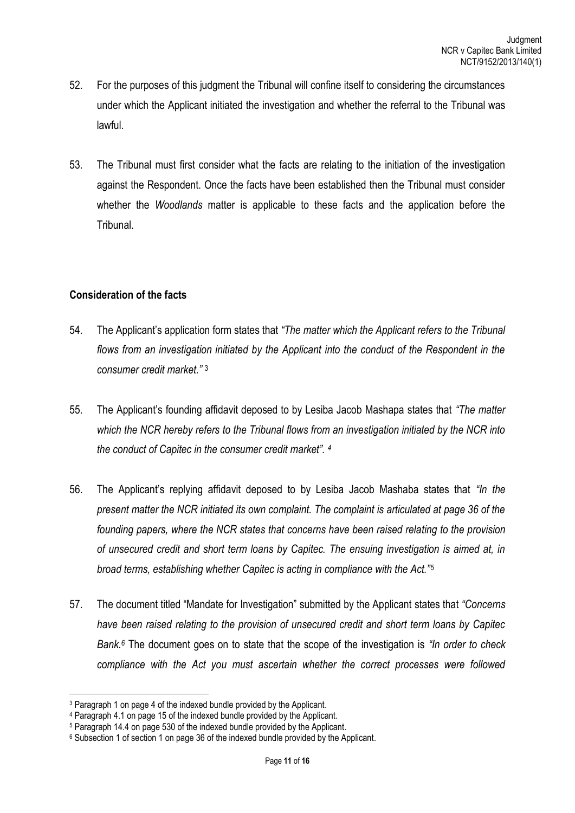- 52. For the purposes of this judgment the Tribunal will confine itself to considering the circumstances under which the Applicant initiated the investigation and whether the referral to the Tribunal was lawful.
- 53. The Tribunal must first consider what the facts are relating to the initiation of the investigation against the Respondent. Once the facts have been established then the Tribunal must consider whether the *Woodlands* matter is applicable to these facts and the application before the Tribunal.

## **Consideration of the facts**

- 54. The Applicant's application form states that *"The matter which the Applicant refers to the Tribunal flows from an investigation initiated by the Applicant into the conduct of the Respondent in the consumer credit market."* <sup>3</sup>
- 55. The Applicant's founding affidavit deposed to by Lesiba Jacob Mashapa states that *"The matter which the NCR hereby refers to the Tribunal flows from an investigation initiated by the NCR into the conduct of Capitec in the consumer credit market". <sup>4</sup>*
- 56. The Applicant's replying affidavit deposed to by Lesiba Jacob Mashaba states that *"In the present matter the NCR initiated its own complaint. The complaint is articulated at page 36 of the founding papers, where the NCR states that concerns have been raised relating to the provision of unsecured credit and short term loans by Capitec. The ensuing investigation is aimed at, in broad terms, establishing whether Capitec is acting in compliance with the Act."<sup>5</sup>*
- 57. The document titled "Mandate for Investigation" submitted by the Applicant states that *"Concerns have been raised relating to the provision of unsecured credit and short term loans by Capitec Bank.<sup>6</sup>* The document goes on to state that the scope of the investigation is *"In order to check compliance with the Act you must ascertain whether the correct processes were followed*

**.** 

<sup>3</sup> Paragraph 1 on page 4 of the indexed bundle provided by the Applicant.

<sup>4</sup> Paragraph 4.1 on page 15 of the indexed bundle provided by the Applicant.

<sup>5</sup> Paragraph 14.4 on page 530 of the indexed bundle provided by the Applicant.

<sup>6</sup> Subsection 1 of section 1 on page 36 of the indexed bundle provided by the Applicant.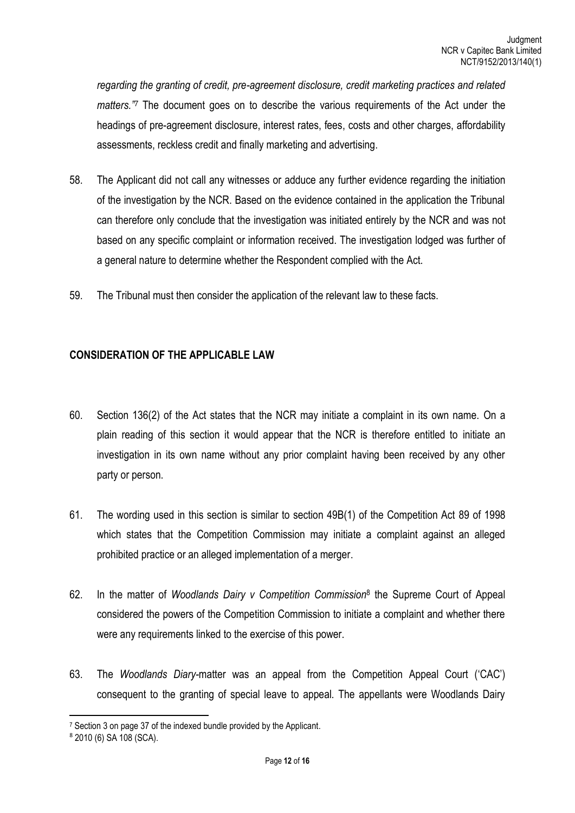*regarding the granting of credit, pre-agreement disclosure, credit marketing practices and related matters." <sup>7</sup>* The document goes on to describe the various requirements of the Act under the headings of pre-agreement disclosure, interest rates, fees, costs and other charges, affordability assessments, reckless credit and finally marketing and advertising.

- 58. The Applicant did not call any witnesses or adduce any further evidence regarding the initiation of the investigation by the NCR. Based on the evidence contained in the application the Tribunal can therefore only conclude that the investigation was initiated entirely by the NCR and was not based on any specific complaint or information received. The investigation lodged was further of a general nature to determine whether the Respondent complied with the Act.
- 59. The Tribunal must then consider the application of the relevant law to these facts.

## **CONSIDERATION OF THE APPLICABLE LAW**

- 60. Section 136(2) of the Act states that the NCR may initiate a complaint in its own name. On a plain reading of this section it would appear that the NCR is therefore entitled to initiate an investigation in its own name without any prior complaint having been received by any other party or person.
- 61. The wording used in this section is similar to section 49B(1) of the Competition Act 89 of 1998 which states that the Competition Commission may initiate a complaint against an alleged prohibited practice or an alleged implementation of a merger.
- 62. In the matter of *Woodlands Dairy v Competition Commission*<sup>8</sup> the Supreme Court of Appeal considered the powers of the Competition Commission to initiate a complaint and whether there were any requirements linked to the exercise of this power.
- 63. The *Woodlands Diary-*matter was an appeal from the Competition Appeal Court ('CAC') consequent to the granting of special leave to appeal. The appellants were Woodlands Dairy

1

<sup>&</sup>lt;sup>7</sup> Section 3 on page 37 of the indexed bundle provided by the Applicant.

<sup>8</sup> 2010 (6) SA 108 (SCA).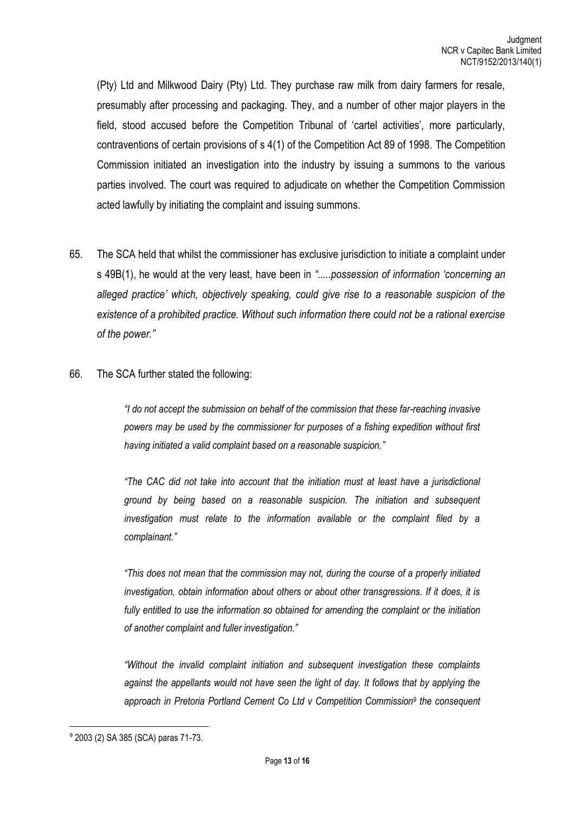(Pty) Ltd and Milkwood Dairy (Pty) Ltd. They purchase raw milk from dairy farmers for resale, presumably after processing and packaging. They, and a number of other major players in the field, stood accused before the Competition Tribunal of 'cartel activities', more particularly, contraventions of certain provisions of s 4(1) of the Competition Act 89 of 1998. The Competition Commission initiated an investigation into the industry by issuing a summons to the various parties involved. The court was required to adjudicate on whether the Competition Commission acted lawfully by initiating the complaint and issuing summons.

65. The SCA held that whilst the commissioner has exclusive jurisdiction to initiate a complaint under s 49B(1), he would at the very least, have been in *".....possession of information 'concerning an alleged practice' which, objectively speaking, could give rise to a reasonable suspicion of the existence of a prohibited practice. Without such information there could not be a rational exercise of the power."*

#### 66. The SCA further stated the following:

*"I do not accept the submission on behalf of the commission that these far-reaching invasive powers may be used by the commissioner for purposes of a fishing expedition without first having initiated a valid complaint based on a reasonable suspicion."*

*"The CAC did not take into account that the initiation must at least have a jurisdictional ground by being based on a reasonable suspicion. The initiation and subsequent investigation must relate to the information available or the complaint filed by a complainant."*

*"This does not mean that the commission may not, during the course of a properly initiated investigation, obtain information about others or about other transgressions. If it does, it is fully entitled to use the information so obtained for amending the complaint or the initiation of another complaint and fuller investigation."*

*"Without the invalid complaint initiation and subsequent investigation these complaints against the appellants would not have seen the light of day. It follows that by applying the approach in Pretoria Portland Cement Co Ltd v Competition Commission<sup>9</sup> the consequent* 

**.** 

<sup>9</sup> 2003 (2) SA 385 (SCA) paras 71-73.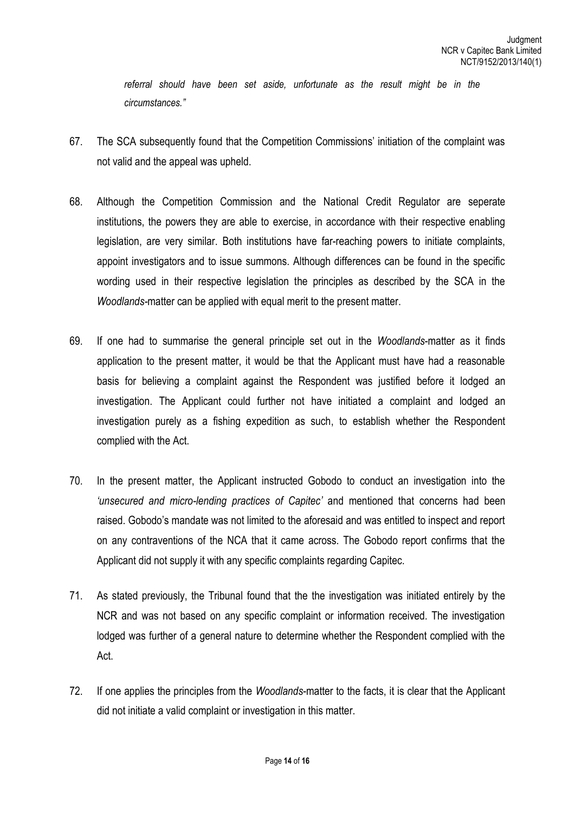referral should have been set aside, unfortunate as the result might be in the *circumstances."*

- 67. The SCA subsequently found that the Competition Commissions' initiation of the complaint was not valid and the appeal was upheld.
- 68. Although the Competition Commission and the National Credit Regulator are seperate institutions, the powers they are able to exercise, in accordance with their respective enabling legislation, are very similar. Both institutions have far-reaching powers to initiate complaints, appoint investigators and to issue summons. Although differences can be found in the specific wording used in their respective legislation the principles as described by the SCA in the *Woodlands-*matter can be applied with equal merit to the present matter.
- 69. If one had to summarise the general principle set out in the *Woodlands*-matter as it finds application to the present matter, it would be that the Applicant must have had a reasonable basis for believing a complaint against the Respondent was justified before it lodged an investigation. The Applicant could further not have initiated a complaint and lodged an investigation purely as a fishing expedition as such, to establish whether the Respondent complied with the Act.
- 70. In the present matter, the Applicant instructed Gobodo to conduct an investigation into the *'unsecured and micro-lending practices of Capitec'* and mentioned that concerns had been raised. Gobodo's mandate was not limited to the aforesaid and was entitled to inspect and report on any contraventions of the NCA that it came across. The Gobodo report confirms that the Applicant did not supply it with any specific complaints regarding Capitec.
- 71. As stated previously, the Tribunal found that the the investigation was initiated entirely by the NCR and was not based on any specific complaint or information received. The investigation lodged was further of a general nature to determine whether the Respondent complied with the Act.
- 72. If one applies the principles from the *Woodlands*-matter to the facts, it is clear that the Applicant did not initiate a valid complaint or investigation in this matter.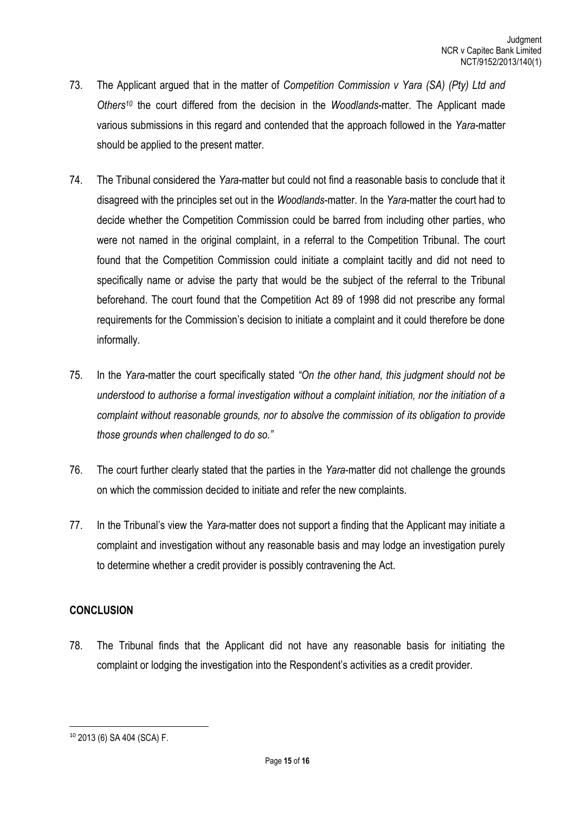- 73. The Applicant argued that in the matter of *Competition Commission v Yara (SA) (Pty) Ltd and Others<sup>10</sup>* the court differed from the decision in the *Woodlands*-matter. The Applicant made various submissions in this regard and contended that the approach followed in the *Yara-*matter should be applied to the present matter.
- 74. The Tribunal considered the *Yara*-matter but could not find a reasonable basis to conclude that it disagreed with the principles set out in the *Woodlands*-matter. In the *Yara*-matter the court had to decide whether the Competition Commission could be barred from including other parties, who were not named in the original complaint, in a referral to the Competition Tribunal. The court found that the Competition Commission could initiate a complaint tacitly and did not need to specifically name or advise the party that would be the subject of the referral to the Tribunal beforehand. The court found that the Competition Act 89 of 1998 did not prescribe any formal requirements for the Commission's decision to initiate a complaint and it could therefore be done informally.
- 75. In the *Yara-*matter the court specifically stated *"On the other hand, this judgment should not be understood to authorise a formal investigation without a complaint initiation, nor the initiation of a complaint without reasonable grounds, nor to absolve the commission of its obligation to provide those grounds when challenged to do so."*
- 76. The court further clearly stated that the parties in the *Yara*-matter did not challenge the grounds on which the commission decided to initiate and refer the new complaints.
- 77. In the Tribunal's view the *Yara*-matter does not support a finding that the Applicant may initiate a complaint and investigation without any reasonable basis and may lodge an investigation purely to determine whether a credit provider is possibly contravening the Act.

## **CONCLUSION**

78. The Tribunal finds that the Applicant did not have any reasonable basis for initiating the complaint or lodging the investigation into the Respondent's activities as a credit provider.

**<sup>.</sup>** <sup>10</sup> 2013 (6) SA 404 (SCA) F.